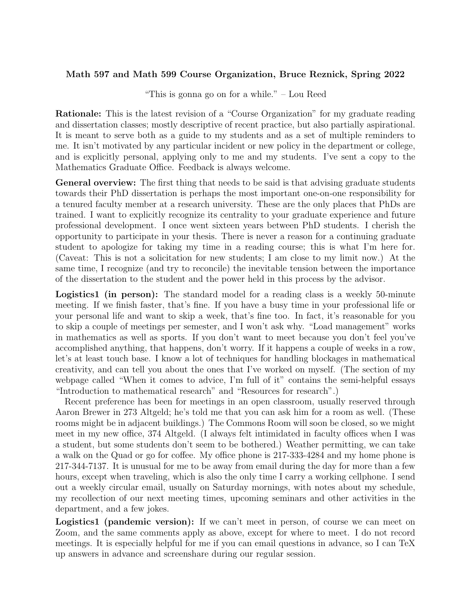## Math 597 and Math 599 Course Organization, Bruce Reznick, Spring 2022

"This is gonna go on for a while." – Lou Reed

Rationale: This is the latest revision of a "Course Organization" for my graduate reading and dissertation classes; mostly descriptive of recent practice, but also partially aspirational. It is meant to serve both as a guide to my students and as a set of multiple reminders to me. It isn't motivated by any particular incident or new policy in the department or college, and is explicitly personal, applying only to me and my students. I've sent a copy to the Mathematics Graduate Office. Feedback is always welcome.

General overview: The first thing that needs to be said is that advising graduate students towards their PhD dissertation is perhaps the most important one-on-one responsibility for a tenured faculty member at a research university. These are the only places that PhDs are trained. I want to explicitly recognize its centrality to your graduate experience and future professional development. I once went sixteen years between PhD students. I cherish the opportunity to participate in your thesis. There is never a reason for a continuing graduate student to apologize for taking my time in a reading course; this is what I'm here for. (Caveat: This is not a solicitation for new students; I am close to my limit now.) At the same time, I recognize (and try to reconcile) the inevitable tension between the importance of the dissertation to the student and the power held in this process by the advisor.

Logistics1 (in person): The standard model for a reading class is a weekly 50-minute meeting. If we finish faster, that's fine. If you have a busy time in your professional life or your personal life and want to skip a week, that's fine too. In fact, it's reasonable for you to skip a couple of meetings per semester, and I won't ask why. "Load management" works in mathematics as well as sports. If you don't want to meet because you don't feel you've accomplished anything, that happens, don't worry. If it happens a couple of weeks in a row, let's at least touch base. I know a lot of techniques for handling blockages in mathematical creativity, and can tell you about the ones that I've worked on myself. (The section of my webpage called "When it comes to advice, I'm full of it" contains the semi-helpful essays "Introduction to mathematical research" and "Resources for research".)

Recent preference has been for meetings in an open classroom, usually reserved through Aaron Brewer in 273 Altgeld; he's told me that you can ask him for a room as well. (These rooms might be in adjacent buildings.) The Commons Room will soon be closed, so we might meet in my new office, 374 Altgeld. (I always felt intimidated in faculty offices when I was a student, but some students don't seem to be bothered.) Weather permitting, we can take a walk on the Quad or go for coffee. My office phone is 217-333-4284 and my home phone is 217-344-7137. It is unusual for me to be away from email during the day for more than a few hours, except when traveling, which is also the only time I carry a working cellphone. I send out a weekly circular email, usually on Saturday mornings, with notes about my schedule, my recollection of our next meeting times, upcoming seminars and other activities in the department, and a few jokes.

Logistics1 (pandemic version): If we can't meet in person, of course we can meet on Zoom, and the same comments apply as above, except for where to meet. I do not record meetings. It is especially helpful for me if you can email questions in advance, so I can TeX up answers in advance and screenshare during our regular session.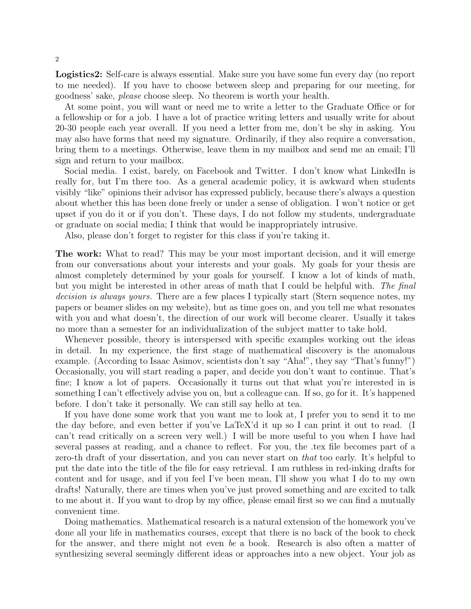Logistics2: Self-care is always essential. Make sure you have some fun every day (no report to me needed). If you have to choose between sleep and preparing for our meeting, for goodness' sake, please choose sleep. No theorem is worth your health.

At some point, you will want or need me to write a letter to the Graduate Office or for a fellowship or for a job. I have a lot of practice writing letters and usually write for about 20-30 people each year overall. If you need a letter from me, don't be shy in asking. You may also have forms that need my signature. Ordinarily, if they also require a conversation, bring them to a meetings. Otherwise, leave them in my mailbox and send me an email; I'll sign and return to your mailbox.

Social media. I exist, barely, on Facebook and Twitter. I don't know what LinkedIn is really for, but I'm there too. As a general academic policy, it is awkward when students visibly "like" opinions their advisor has expressed publicly, because there's always a question about whether this has been done freely or under a sense of obligation. I won't notice or get upset if you do it or if you don't. These days, I do not follow my students, undergraduate or graduate on social media; I think that would be inappropriately intrusive.

Also, please don't forget to register for this class if you're taking it.

The work: What to read? This may be your most important decision, and it will emerge from our conversations about your interests and your goals. My goals for your thesis are almost completely determined by your goals for yourself. I know a lot of kinds of math, but you might be interested in other areas of math that I could be helpful with. The final decision is always yours. There are a few places I typically start (Stern sequence notes, my papers or beamer slides on my website), but as time goes on, and you tell me what resonates with you and what doesn't, the direction of our work will become clearer. Usually it takes no more than a semester for an individualization of the subject matter to take hold.

Whenever possible, theory is interspersed with specific examples working out the ideas in detail. In my experience, the first stage of mathematical discovery is the anomalous example. (According to Isaac Asimov, scientists don't say "Aha!", they say "That's funny!") Occasionally, you will start reading a paper, and decide you don't want to continue. That's fine; I know a lot of papers. Occasionally it turns out that what you're interested in is something I can't effectively advise you on, but a colleague can. If so, go for it. It's happened before. I don't take it personally. We can still say hello at tea.

If you have done some work that you want me to look at, I prefer you to send it to me the day before, and even better if you've LaTeX'd it up so I can print it out to read. (I can't read critically on a screen very well.) I will be more useful to you when I have had several passes at reading, and a chance to reflect. For you, the .tex file becomes part of a zero-th draft of your dissertation, and you can never start on *that* too early. It's helpful to put the date into the title of the file for easy retrieval. I am ruthless in red-inking drafts for content and for usage, and if you feel I've been mean, I'll show you what I do to my own drafts! Naturally, there are times when you've just proved something and are excited to talk to me about it. If you want to drop by my office, please email first so we can find a mutually convenient time.

Doing mathematics. Mathematical research is a natural extension of the homework you've done all your life in mathematics courses, except that there is no back of the book to check for the answer, and there might not even be a book. Research is also often a matter of synthesizing several seemingly different ideas or approaches into a new object. Your job as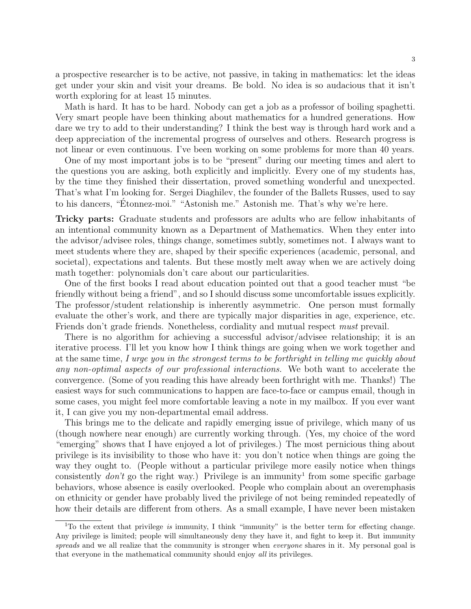a prospective researcher is to be active, not passive, in taking in mathematics: let the ideas get under your skin and visit your dreams. Be bold. No idea is so audacious that it isn't worth exploring for at least 15 minutes.

Math is hard. It has to be hard. Nobody can get a job as a professor of boiling spaghetti. Very smart people have been thinking about mathematics for a hundred generations. How dare we try to add to their understanding? I think the best way is through hard work and a deep appreciation of the incremental progress of ourselves and others. Research progress is not linear or even continuous. I've been working on some problems for more than 40 years.

One of my most important jobs is to be "present" during our meeting times and alert to the questions you are asking, both explicitly and implicitly. Every one of my students has, by the time they finished their dissertation, proved something wonderful and unexpected. That's what I'm looking for. Sergei Diaghilev, the founder of the Ballets Russes, used to say to his dancers, "Étonnez-moi." "Astonish me." Astonish me. That's why we're here.

Tricky parts: Graduate students and professors are adults who are fellow inhabitants of an intentional community known as a Department of Mathematics. When they enter into the advisor/advisee roles, things change, sometimes subtly, sometimes not. I always want to meet students where they are, shaped by their specific experiences (academic, personal, and societal), expectations and talents. But these mostly melt away when we are actively doing math together: polynomials don't care about our particularities.

One of the first books I read about education pointed out that a good teacher must "be friendly without being a friend", and so I should discuss some uncomfortable issues explicitly. The professor/student relationship is inherently asymmetric. One person must formally evaluate the other's work, and there are typically major disparities in age, experience, etc. Friends don't grade friends. Nonetheless, cordiality and mutual respect must prevail.

There is no algorithm for achieving a successful advisor/advisee relationship; it is an iterative process. I'll let you know how I think things are going when we work together and at the same time, I urge you in the strongest terms to be forthright in telling me quickly about any non-optimal aspects of our professional interactions. We both want to accelerate the convergence. (Some of you reading this have already been forthright with me. Thanks!) The easiest ways for such communications to happen are face-to-face or campus email, though in some cases, you might feel more comfortable leaving a note in my mailbox. If you ever want it, I can give you my non-departmental email address.

This brings me to the delicate and rapidly emerging issue of privilege, which many of us (though nowhere near enough) are currently working through. (Yes, my choice of the word "emerging" shows that I have enjoyed a lot of privileges.) The most pernicious thing about privilege is its invisibility to those who have it: you don't notice when things are going the way they ought to. (People without a particular privilege more easily notice when things consistently  $don't$  go the right way.) Privilege is an immunity<sup>1</sup> from some specific garbage behaviors, whose absence is easily overlooked. People who complain about an overemphasis on ethnicity or gender have probably lived the privilege of not being reminded repeatedly of how their details are different from others. As a small example, I have never been mistaken

<sup>&</sup>lt;sup>1</sup>To the extent that privilege is immunity, I think "immunity" is the better term for effecting change. Any privilege is limited; people will simultaneously deny they have it, and fight to keep it. But immunity spreads and we all realize that the community is stronger when everyone shares in it. My personal goal is that everyone in the mathematical community should enjoy all its privileges.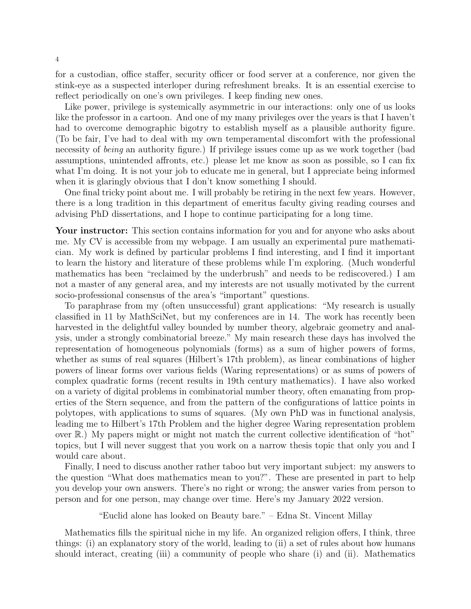for a custodian, office staffer, security officer or food server at a conference, nor given the stink-eye as a suspected interloper during refreshment breaks. It is an essential exercise to reflect periodically on one's own privileges. I keep finding new ones.

Like power, privilege is systemically asymmetric in our interactions: only one of us looks like the professor in a cartoon. And one of my many privileges over the years is that I haven't had to overcome demographic bigotry to establish myself as a plausible authority figure. (To be fair, I've had to deal with my own temperamental discomfort with the professional necessity of *being* an authority figure.) If privilege issues come up as we work together (bad assumptions, unintended affronts, etc.) please let me know as soon as possible, so I can fix what I'm doing. It is not your job to educate me in general, but I appreciate being informed when it is glaringly obvious that I don't know something I should.

One final tricky point about me. I will probably be retiring in the next few years. However, there is a long tradition in this department of emeritus faculty giving reading courses and advising PhD dissertations, and I hope to continue participating for a long time.

Your instructor: This section contains information for you and for anyone who asks about me. My CV is accessible from my webpage. I am usually an experimental pure mathematician. My work is defined by particular problems I find interesting, and I find it important to learn the history and literature of these problems while I'm exploring. (Much wonderful mathematics has been "reclaimed by the underbrush" and needs to be rediscovered.) I am not a master of any general area, and my interests are not usually motivated by the current socio-professional consensus of the area's "important" questions.

To paraphrase from my (often unsuccessful) grant applications: "My research is usually classified in 11 by MathSciNet, but my conferences are in 14. The work has recently been harvested in the delightful valley bounded by number theory, algebraic geometry and analysis, under a strongly combinatorial breeze." My main research these days has involved the representation of homogeneous polynomials (forms) as a sum of higher powers of forms, whether as sums of real squares (Hilbert's 17th problem), as linear combinations of higher powers of linear forms over various fields (Waring representations) or as sums of powers of complex quadratic forms (recent results in 19th century mathematics). I have also worked on a variety of digital problems in combinatorial number theory, often emanating from properties of the Stern sequence, and from the pattern of the configurations of lattice points in polytopes, with applications to sums of squares. (My own PhD was in functional analysis, leading me to Hilbert's 17th Problem and the higher degree Waring representation problem over R.) My papers might or might not match the current collective identification of "hot" topics, but I will never suggest that you work on a narrow thesis topic that only you and I would care about.

Finally, I need to discuss another rather taboo but very important subject: my answers to the question "What does mathematics mean to you?". These are presented in part to help you develop your own answers. There's no right or wrong; the answer varies from person to person and for one person, may change over time. Here's my January 2022 version.

"Euclid alone has looked on Beauty bare." – Edna St. Vincent Millay

Mathematics fills the spiritual niche in my life. An organized religion offers, I think, three things: (i) an explanatory story of the world, leading to (ii) a set of rules about how humans should interact, creating (iii) a community of people who share (i) and (ii). Mathematics